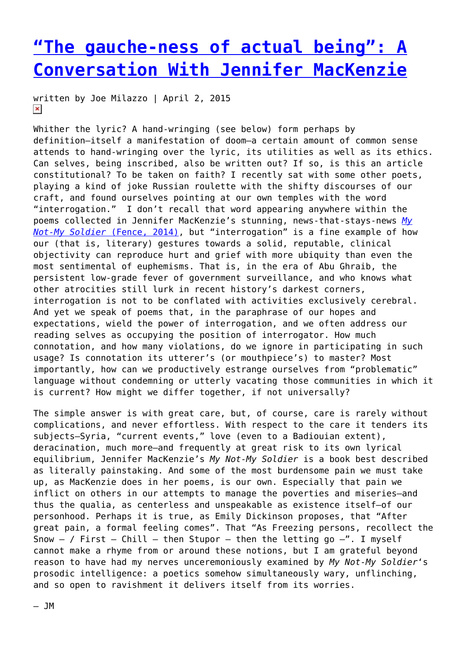## **["The gauche-ness of actual being": A](https://entropymag.org/the-gauche-ness-of-actual-being-a-conversation-with-jennifer-mackenzie/) [Conversation With Jennifer MacKenzie](https://entropymag.org/the-gauche-ness-of-actual-being-a-conversation-with-jennifer-mackenzie/)**

written by Joe Milazzo | April 2, 2015  $\pmb{\times}$ 

Whither the lyric? A hand-wringing (see below) form perhaps by definition—itself a manifestation of doom—a certain amount of common sense attends to hand-wringing over the lyric, its utilities as well as its ethics. Can selves, being inscribed, also be written out? If so, is this an article constitutional? To be taken on faith? I recently sat with some other poets, playing a kind of joke Russian roulette with the shifty discourses of our craft, and found ourselves pointing at our own temples with the word "interrogation." I don't recall that word appearing anywhere within the poems collected in Jennifer MacKenzie's stunning, news-that-stays-news *[My](http://www.fenceportal.org/?page_id=5605) [Not-My Soldier](http://www.fenceportal.org/?page_id=5605)* [\(Fence, 2014\),](http://www.fenceportal.org/?page_id=5605) but "interrogation" is a fine example of how our (that is, literary) gestures towards a solid, reputable, clinical objectivity can reproduce hurt and grief with more ubiquity than even the most sentimental of euphemisms. That is, in the era of Abu Ghraib, the persistent low-grade fever of government surveillance, and who knows what other atrocities still lurk in recent history's darkest corners, interrogation is not to be conflated with activities exclusively cerebral. And yet we speak of poems that, in the paraphrase of our hopes and expectations, wield the power of interrogation, and we often address our reading selves as occupying the position of interrogator. How much connotation, and how many violations, do we ignore in participating in such usage? Is connotation its utterer's (or mouthpiece's) to master? Most importantly, how can we productively estrange ourselves from "problematic" language without condemning or utterly vacating those communities in which it is current? How might we differ together, if not universally?

The simple answer is with great care, but, of course, care is rarely without complications, and never effortless. With respect to the care it tenders its subjects—Syria, "current events," love (even to a Badiouian extent), deracination, much more—and frequently at great risk to its own lyrical equilibrium, Jennifer MacKenzie's *My Not-My Soldier* is a book best described as literally painstaking. And some of the most burdensome pain we must take up, as MacKenzie does in her poems, is our own. Especially that pain we inflict on others in our attempts to manage the poverties and miseries—and thus the qualia, as centerless and unspeakable as existence itself—of our personhood. Perhaps it is true, as Emily Dickinson proposes, that "After great pain, a formal feeling comes". That "As Freezing persons, recollect the Snow  $-$  / First – Chill – then Stupor – then the letting go  $-$ ". I myself cannot make a rhyme from or around these notions, but I am grateful beyond reason to have had my nerves unceremoniously examined by *My Not-My Soldier*'s prosodic intelligence: a poetics somehow simultaneously wary, unflinching, and so open to ravishment it delivers itself from its worries.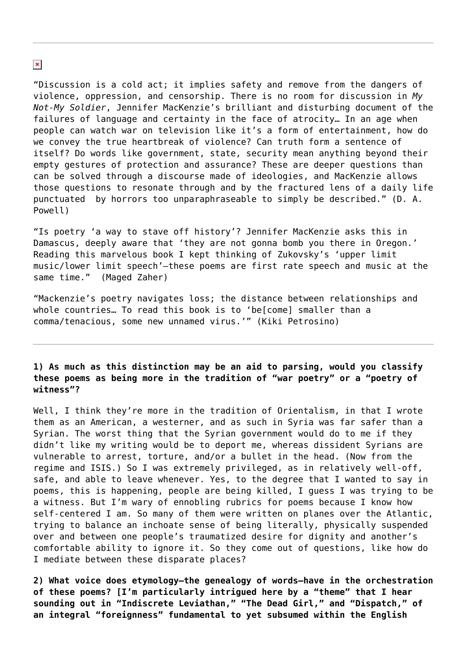"Discussion is a cold act; it implies safety and remove from the dangers of violence, oppression, and censorship. There is no room for discussion in *My Not-My Soldier*, Jennifer MacKenzie's brilliant and disturbing document of the failures of language and certainty in the face of atrocity… In an age when people can watch war on television like it's a form of entertainment, how do we convey the true heartbreak of violence? Can truth form a sentence of itself? Do words like government, state, security mean anything beyond their empty gestures of protection and assurance? These are deeper questions than can be solved through a discourse made of ideologies, and MacKenzie allows those questions to resonate through and by the fractured lens of a daily life punctuated by horrors too unparaphraseable to simply be described." (D. A. Powell)

"Is poetry 'a way to stave off history'? Jennifer MacKenzie asks this in Damascus, deeply aware that 'they are not gonna bomb you there in Oregon.' Reading this marvelous book I kept thinking of Zukovsky's 'upper limit music/lower limit speech'—these poems are first rate speech and music at the same time." (Maged Zaher)

"Mackenzie's poetry navigates loss; the distance between relationships and whole countries… To read this book is to 'be[come] smaller than a comma/tenacious, some new unnamed virus.'" (Kiki Petrosino)

## **1) As much as this distinction may be an aid to parsing, would you classify these poems as being more in the tradition of "war poetry" or a "poetry of witness"?**

Well, I think they're more in the tradition of Orientalism, in that I wrote them as an American, a westerner, and as such in Syria was far safer than a Syrian. The worst thing that the Syrian government would do to me if they didn't like my writing would be to deport me, whereas dissident Syrians are vulnerable to arrest, torture, and/or a bullet in the head. (Now from the regime and ISIS.) So I was extremely privileged, as in relatively well-off, safe, and able to leave whenever. Yes, to the degree that I wanted to say in poems, this is happening, people are being killed, I guess I was trying to be a witness. But I'm wary of ennobling rubrics for poems because I know how self-centered I am. So many of them were written on planes over the Atlantic, trying to balance an inchoate sense of being literally, physically suspended over and between one people's traumatized desire for dignity and another's comfortable ability to ignore it. So they come out of questions, like how do I mediate between these disparate places?

**2) What voice does etymology—the genealogy of words—have in the orchestration of these poems? [I'm particularly intrigued here by a "theme" that I hear sounding out in "Indiscrete Leviathan," "The Dead Girl," and "Dispatch," of an integral "foreignness" fundamental to yet subsumed within the English**

 $\pmb{\times}$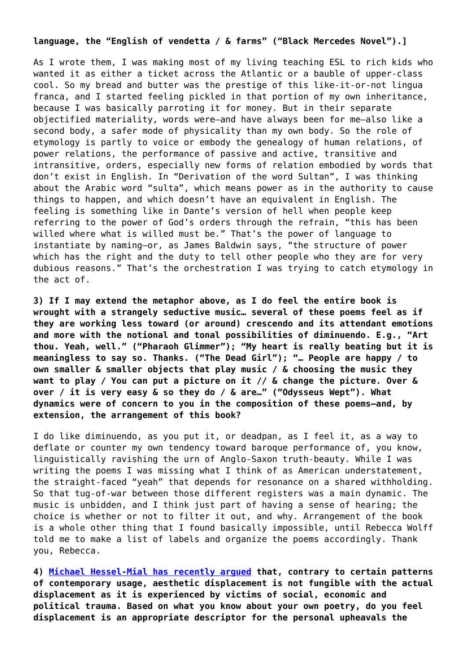## **language, the "English of vendetta / & farms" ("Black Mercedes Novel").]**

As I wrote them, I was making most of my living teaching ESL to rich kids who wanted it as either a ticket across the Atlantic or a bauble of upper-class cool. So my bread and butter was the prestige of this like-it-or-not lingua franca, and I started feeling pickled in that portion of my own inheritance, because I was basically parroting it for money. But in their separate objectified materiality, words were—and have always been for me–also like a second body, a safer mode of physicality than my own body. So the role of etymology is partly to voice or embody the genealogy of human relations, of power relations, the performance of passive and active, transitive and intransitive, orders, especially new forms of relation embodied by words that don't exist in English. In "Derivation of the word Sultan", I was thinking about the Arabic word "sulta", which means power as in the authority to cause things to happen, and which doesn't have an equivalent in English. The feeling is something like in Dante's version of hell when people keep referring to the power of God's orders through the refrain, "this has been willed where what is willed must be." That's the power of language to instantiate by naming—or, as James Baldwin says, "the structure of power which has the right and the duty to tell other people who they are for very dubious reasons." That's the orchestration I was trying to catch etymology in the act of.

**3) If I may extend the metaphor above, as I do feel the entire book is wrought with a strangely seductive music… several of these poems feel as if they are working less toward (or around) crescendo and its attendant emotions and more with the notional and tonal possibilities of diminuendo. E.g., "Art thou. Yeah, well." ("Pharaoh Glimmer"); "My heart is really beating but it is meaningless to say so. Thanks. ("The Dead Girl"); "… People are happy / to own smaller & smaller objects that play music / & choosing the music they want to play / You can put a picture on it // & change the picture. Over & over / it is very easy & so they do / & are…" ("Odysseus Wept"). What dynamics were of concern to you in the composition of these poems—and, by extension, the arrangement of this book?**

I do like diminuendo, as you put it, or deadpan, as I feel it, as a way to deflate or counter my own tendency toward baroque performance of, you know, linguistically ravishing the urn of Anglo-Saxon truth-beauty. While I was writing the poems I was missing what I think of as American understatement, the straight-faced "yeah" that depends for resonance on a shared withholding. So that tug-of-war between those different registers was a main dynamic. The music is unbidden, and I think just part of having a sense of hearing; the choice is whether or not to filter it out, and why. Arrangement of the book is a whole other thing that I found basically impossible, until Rebecca Wolff told me to make a list of labels and organize the poems accordingly. Thank you, Rebecca.

**4) [Michael Hessel-Mial has recently argued](https://entropymag.org/conceptual-writing-in-the-time-of-non-indictment-notes-on-goldsmiths-displacement-is-the-new-translation/) that, contrary to certain patterns of contemporary usage, aesthetic displacement is not fungible with the actual displacement as it is experienced by victims of social, economic and political trauma. Based on what you know about your own poetry, do you feel displacement is an appropriate descriptor for the personal upheavals the**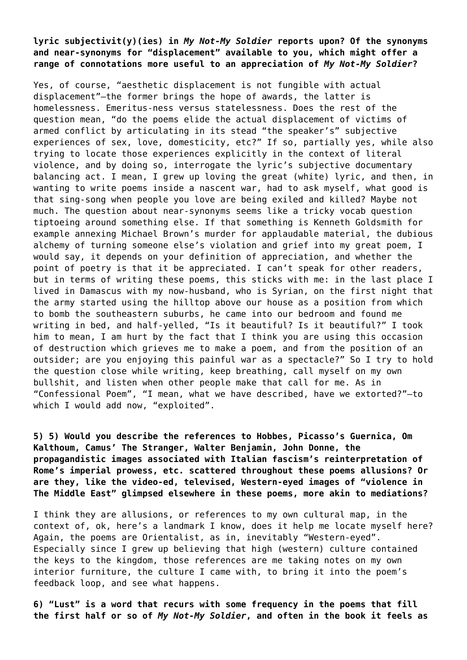**lyric subjectivit(y)(ies) in** *My Not-My Soldier* **reports upon? Of the synonyms and near-synonyms for "displacement" available to you, which might offer a range of connotations more useful to an appreciation of** *My Not-My Soldier***?**

Yes, of course, "aesthetic displacement is not fungible with actual displacement"—the former brings the hope of awards, the latter is homelessness. Emeritus-ness versus statelessness. Does the rest of the question mean, "do the poems elide the actual displacement of victims of armed conflict by articulating in its stead "the speaker's" subjective experiences of sex, love, domesticity, etc?" If so, partially yes, while also trying to locate those experiences explicitly in the context of literal violence, and by doing so, interrogate the lyric's subjective documentary balancing act. I mean, I grew up loving the great (white) lyric, and then, in wanting to write poems inside a nascent war, had to ask myself, what good is that sing-song when people you love are being exiled and killed? Maybe not much. The question about near-synonyms seems like a tricky vocab question tiptoeing around something else. If that something is Kenneth Goldsmith for example annexing Michael Brown's murder for applaudable material, the dubious alchemy of turning someone else's violation and grief into my great poem, I would say, it depends on your definition of appreciation, and whether the point of poetry is that it be appreciated. I can't speak for other readers, but in terms of writing these poems, this sticks with me: in the last place I lived in Damascus with my now-husband, who is Syrian, on the first night that the army started using the hilltop above our house as a position from which to bomb the southeastern suburbs, he came into our bedroom and found me writing in bed, and half-yelled, "Is it beautiful? Is it beautiful?" I took him to mean, I am hurt by the fact that I think you are using this occasion of destruction which grieves me to make a poem, and from the position of an outsider; are you enjoying this painful war as a spectacle?" So I try to hold the question close while writing, keep breathing, call myself on my own bullshit, and listen when other people make that call for me. As in "Confessional Poem", "I mean, what we have described, have we extorted?"—to which I would add now, "exploited".

**5) 5) Would you describe the references to Hobbes, Picasso's Guernica, Om Kalthoum, Camus' The Stranger, Walter Benjamin, John Donne, the propagandistic images associated with Italian fascism's reinterpretation of Rome's imperial prowess, etc. scattered throughout these poems allusions? Or are they, like the video-ed, televised, Western-eyed images of "violence in The Middle East" glimpsed elsewhere in these poems, more akin to mediations?**

I think they are allusions, or references to my own cultural map, in the context of, ok, here's a landmark I know, does it help me locate myself here? Again, the poems are Orientalist, as in, inevitably "Western-eyed". Especially since I grew up believing that high (western) culture contained the keys to the kingdom, those references are me taking notes on my own interior furniture, the culture I came with, to bring it into the poem's feedback loop, and see what happens.

**6) "Lust" is a word that recurs with some frequency in the poems that fill the first half or so of** *My Not-My Soldier***, and often in the book it feels as**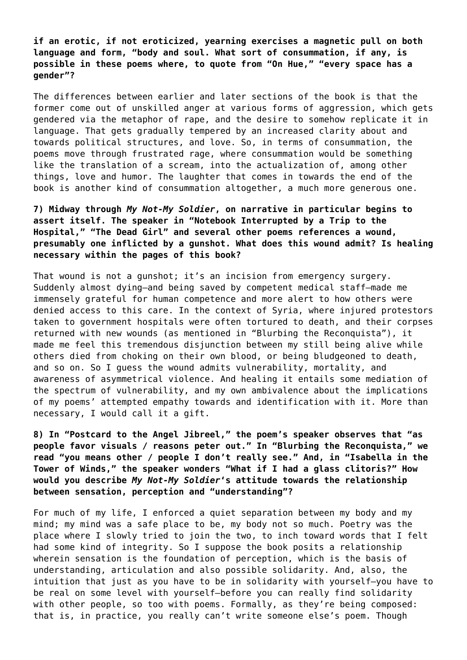**if an erotic, if not eroticized, yearning exercises a magnetic pull on both language and form, "body and soul. What sort of consummation, if any, is possible in these poems where, to quote from "On Hue," "every space has a gender"?**

The differences between earlier and later sections of the book is that the former come out of unskilled anger at various forms of aggression, which gets gendered via the metaphor of rape, and the desire to somehow replicate it in language. That gets gradually tempered by an increased clarity about and towards political structures, and love. So, in terms of consummation, the poems move through frustrated rage, where consummation would be something like the translation of a scream, into the actualization of, among other things, love and humor. The laughter that comes in towards the end of the book is another kind of consummation altogether, a much more generous one.

**7) Midway through** *My Not-My Soldier***, on narrative in particular begins to assert itself. The speaker in "Notebook Interrupted by a Trip to the Hospital," "The Dead Girl" and several other poems references a wound, presumably one inflicted by a gunshot. What does this wound admit? Is healing necessary within the pages of this book?**

That wound is not a gunshot; it's an incision from emergency surgery. Suddenly almost dying—and being saved by competent medical staff–made me immensely grateful for human competence and more alert to how others were denied access to this care. In the context of Syria, where injured protestors taken to government hospitals were often tortured to death, and their corpses returned with new wounds (as mentioned in "Blurbing the Reconquista"), it made me feel this tremendous disjunction between my still being alive while others died from choking on their own blood, or being bludgeoned to death, and so on. So I guess the wound admits vulnerability, mortality, and awareness of asymmetrical violence. And healing it entails some mediation of the spectrum of vulnerability, and my own ambivalence about the implications of my poems' attempted empathy towards and identification with it. More than necessary, I would call it a gift.

**8) In "Postcard to the Angel Jibreel," the poem's speaker observes that "as people favor visuals / reasons peter out." In "Blurbing the Reconquista," we read "you means other / people I don't really see." And, in "Isabella in the Tower of Winds," the speaker wonders "What if I had a glass clitoris?" How would you describe** *My Not-My Soldier***'s attitude towards the relationship between sensation, perception and "understanding"?**

For much of my life, I enforced a quiet separation between my body and my mind; my mind was a safe place to be, my body not so much. Poetry was the place where I slowly tried to join the two, to inch toward words that I felt had some kind of integrity. So I suppose the book posits a relationship wherein sensation is the foundation of perception, which is the basis of understanding, articulation and also possible solidarity. And, also, the intuition that just as you have to be in solidarity with yourself—you have to be real on some level with yourself—before you can really find solidarity with other people, so too with poems. Formally, as they're being composed: that is, in practice, you really can't write someone else's poem. Though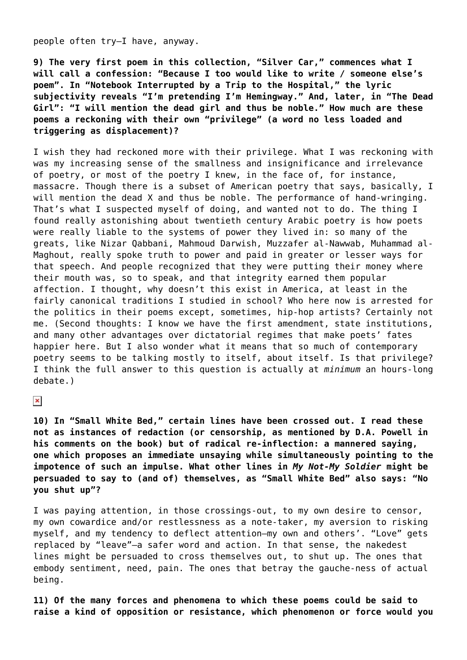people often try—I have, anyway.

**9) The very first poem in this collection, "Silver Car," commences what I will call a confession: "Because I too would like to write / someone else's poem". In "Notebook Interrupted by a Trip to the Hospital," the lyric subjectivity reveals "I'm pretending I'm Hemingway." And, later, in "The Dead Girl": "I will mention the dead girl and thus be noble." How much are these poems a reckoning with their own "privilege" (a word no less loaded and triggering as displacement)?**

I wish they had reckoned more with their privilege. What I was reckoning with was my increasing sense of the smallness and insignificance and irrelevance of poetry, or most of the poetry I knew, in the face of, for instance, massacre. Though there is a subset of American poetry that says, basically, I will mention the dead X and thus be noble. The performance of hand-wringing. That's what I suspected myself of doing, and wanted not to do. The thing I found really astonishing about twentieth century Arabic poetry is how poets were really liable to the systems of power they lived in: so many of the greats, like Nizar Qabbani, Mahmoud Darwish, Muzzafer al-Nawwab, Muhammad al-Maghout, really spoke truth to power and paid in greater or lesser ways for that speech. And people recognized that they were putting their money where their mouth was, so to speak, and that integrity earned them popular affection. I thought, why doesn't this exist in America, at least in the fairly canonical traditions I studied in school? Who here now is arrested for the politics in their poems except, sometimes, hip-hop artists? Certainly not me. (Second thoughts: I know we have the first amendment, state institutions, and many other advantages over dictatorial regimes that make poets' fates happier here. But I also wonder what it means that so much of contemporary poetry seems to be talking mostly to itself, about itself. Is that privilege? I think the full answer to this question is actually at *minimum* an hours-long debate.)

 $\pmb{\times}$ 

**10) In "Small White Bed," certain lines have been crossed out. I read these not as instances of redaction (or censorship, as mentioned by D.A. Powell in his comments on the book) but of radical re-inflection: a mannered saying, one which proposes an immediate unsaying while simultaneously pointing to the impotence of such an impulse. What other lines in** *My Not-My Soldier* **might be persuaded to say to (and of) themselves, as "Small White Bed" also says: "No you shut up"?**

I was paying attention, in those crossings-out, to my own desire to censor, my own cowardice and/or restlessness as a note-taker, my aversion to risking myself, and my tendency to deflect attention—my own and others'. "Love" gets replaced by "leave"—a safer word and action. In that sense, the nakedest lines might be persuaded to cross themselves out, to shut up. The ones that embody sentiment, need, pain. The ones that betray the gauche-ness of actual being.

**11) Of the many forces and phenomena to which these poems could be said to raise a kind of opposition or resistance, which phenomenon or force would you**